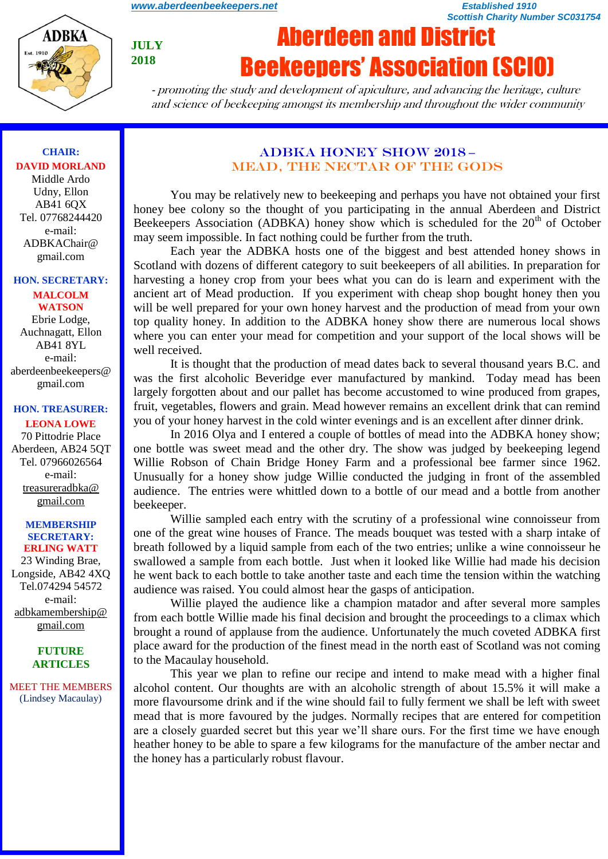*Scottish Charity Number SC031754*



**JULY 2018**

# Aberdeen and District Beekeepers' Association (SCIO)

- promoting the study and development of apiculture, and advancing the heritage, culture and science of beekeeping amongst its membership and throughout the wider community

### **CHAIR: DAVID MORLAND**

Middle Ardo Udny, Ellon AB41 6QX Tel. 07768244420 e-mail: ADBKAChair@ gmail.com

#### **HON. SECRETARY:**

**MALCOLM WATSON** Ebrie Lodge, Auchnagatt, Ellon AB41 8YL e-mail: aberdeenbeekeepers@ gmail.com

#### **HON. TREASURER:**

**LEONA LOWE** 70 Pittodrie Place Aberdeen, AB24 5QT Tel. 07966026564 e-mail: [treasureradbka@](https://e.mail.ru/compose/?mailto=mailto%3atreasureradbka@gmail.com)  [gmail.com](https://e.mail.ru/compose/?mailto=mailto%3atreasureradbka@gmail.com)

#### **MEMBERSHIP SECRETARY: ERLING WATT**

23 Winding Brae, Longside, AB42 4XQ Tel.074294 54572 e-mail: [adbkamembership@](mailto:watterlingg@aol.com) [gmail.com](mailto:watterlingg@aol.com)

#### **FUTURE ARTICLES**

MEET THE MEMBERS (Lindsey Macaulay)

#### ADBKA HONEY SHOW 2018 **–** MEAD, THE NECTAR OF THE GODS

You may be relatively new to beekeeping and perhaps you have not obtained your first honey bee colony so the thought of you participating in the annual Aberdeen and District Beekeepers Association (ADBKA) honey show which is scheduled for the 20<sup>th</sup> of October may seem impossible. In fact nothing could be further from the truth.

Each year the ADBKA hosts one of the biggest and best attended honey shows in Scotland with dozens of different category to suit beekeepers of all abilities. In preparation for harvesting a honey crop from your bees what you can do is learn and experiment with the ancient art of Mead production. If you experiment with cheap shop bought honey then you will be well prepared for your own honey harvest and the production of mead from your own top quality honey. In addition to the ADBKA honey show there are numerous local shows where you can enter your mead for competition and your support of the local shows will be well received.

It is thought that the production of mead dates back to several thousand years B.C. and was the first alcoholic Beveridge ever manufactured by mankind. Today mead has been largely forgotten about and our pallet has become accustomed to wine produced from grapes, fruit, vegetables, flowers and grain. Mead however remains an excellent drink that can remind you of your honey harvest in the cold winter evenings and is an excellent after dinner drink.

In 2016 Olya and I entered a couple of bottles of mead into the ADBKA honey show; one bottle was sweet mead and the other dry. The show was judged by beekeeping legend Willie Robson of Chain Bridge Honey Farm and a professional bee farmer since 1962. Unusually for a honey show judge Willie conducted the judging in front of the assembled audience. The entries were whittled down to a bottle of our mead and a bottle from another beekeeper.

Willie sampled each entry with the scrutiny of a professional wine connoisseur from one of the great wine houses of France. The meads bouquet was tested with a sharp intake of breath followed by a liquid sample from each of the two entries; unlike a wine connoisseur he swallowed a sample from each bottle. Just when it looked like Willie had made his decision he went back to each bottle to take another taste and each time the tension within the watching audience was raised. You could almost hear the gasps of anticipation.

Willie played the audience like a champion matador and after several more samples from each bottle Willie made his final decision and brought the proceedings to a climax which brought a round of applause from the audience. Unfortunately the much coveted ADBKA first place award for the production of the finest mead in the north east of Scotland was not coming to the Macaulay household.

This year we plan to refine our recipe and intend to make mead with a higher final alcohol content. Our thoughts are with an alcoholic strength of about 15.5% it will make a more flavoursome drink and if the wine should fail to fully ferment we shall be left with sweet mead that is more favoured by the judges. Normally recipes that are entered for competition are a closely guarded secret but this year we'll share ours. For the first time we have enough heather honey to be able to spare a few kilograms for the manufacture of the amber nectar and the honey has a particularly robust flavour.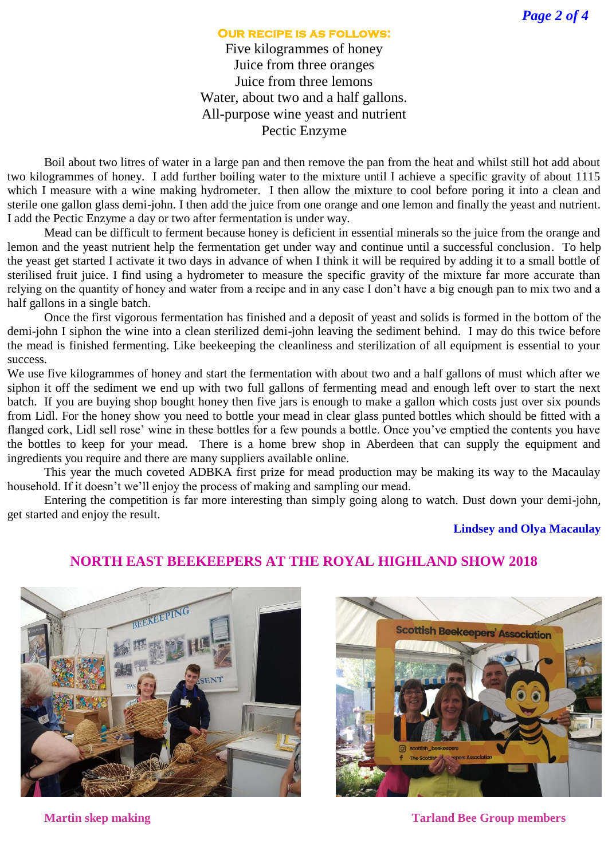#### **Our recipe is as follows:**

Five kilogrammes of honey Juice from three oranges Juice from three lemons Water, about two and a half gallons. All-purpose wine yeast and nutrient Pectic Enzyme

Boil about two litres of water in a large pan and then remove the pan from the heat and whilst still hot add about two kilogrammes of honey. I add further boiling water to the mixture until I achieve a specific gravity of about 1115 which I measure with a wine making hydrometer. I then allow the mixture to cool before poring it into a clean and sterile one gallon glass demi-john. I then add the juice from one orange and one lemon and finally the yeast and nutrient. I add the Pectic Enzyme a day or two after fermentation is under way.

Mead can be difficult to ferment because honey is deficient in essential minerals so the juice from the orange and lemon and the yeast nutrient help the fermentation get under way and continue until a successful conclusion. To help the yeast get started I activate it two days in advance of when I think it will be required by adding it to a small bottle of sterilised fruit juice. I find using a hydrometer to measure the specific gravity of the mixture far more accurate than relying on the quantity of honey and water from a recipe and in any case I don't have a big enough pan to mix two and a half gallons in a single batch.

Once the first vigorous fermentation has finished and a deposit of yeast and solids is formed in the bottom of the demi-john I siphon the wine into a clean sterilized demi-john leaving the sediment behind. I may do this twice before the mead is finished fermenting. Like beekeeping the cleanliness and sterilization of all equipment is essential to your success.

We use five kilogrammes of honey and start the fermentation with about two and a half gallons of must which after we siphon it off the sediment we end up with two full gallons of fermenting mead and enough left over to start the next batch. If you are buying shop bought honey then five jars is enough to make a gallon which costs just over six pounds from Lidl. For the honey show you need to bottle your mead in clear glass punted bottles which should be fitted with a flanged cork, Lidl sell rose' wine in these bottles for a few pounds a bottle. Once you've emptied the contents you have the bottles to keep for your mead. There is a home brew shop in Aberdeen that can supply the equipment and ingredients you require and there are many suppliers available online.

This year the much coveted ADBKA first prize for mead production may be making its way to the Macaulay household. If it doesn't we'll enjoy the process of making and sampling our mead.

Entering the competition is far more interesting than simply going along to watch. Dust down your demi-john, get started and enjoy the result.

#### **Lindsey and Olya Macaulay**

## **NORTH EAST BEEKEEPERS AT THE ROYAL HIGHLAND SHOW 2018**





**Martin skep making Tarland Bee Group members**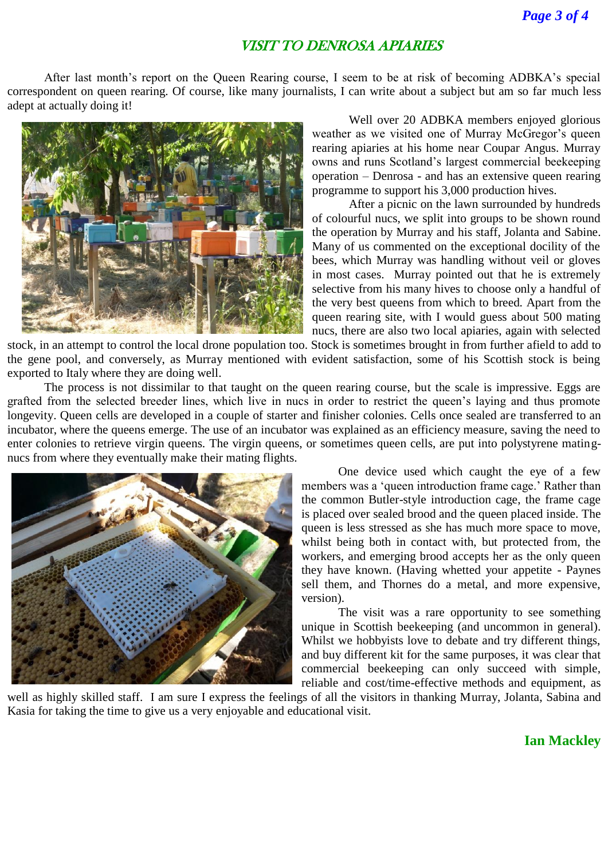## VISIT TO DENROSA APIARIES

After last month's report on the Queen Rearing course, I seem to be at risk of becoming ADBKA's special correspondent on queen rearing. Of course, like many journalists, I can write about a subject but am so far much less adept at actually doing it!



Well over 20 ADBKA members enjoyed glorious weather as we visited one of Murray McGregor's queen rearing apiaries at his home near Coupar Angus. Murray owns and runs Scotland's largest commercial beekeeping operation – Denrosa - and has an extensive queen rearing programme to support his 3,000 production hives.

After a picnic on the lawn surrounded by hundreds of colourful nucs, we split into groups to be shown round the operation by Murray and his staff, Jolanta and Sabine. Many of us commented on the exceptional docility of the bees, which Murray was handling without veil or gloves in most cases. Murray pointed out that he is extremely selective from his many hives to choose only a handful of the very best queens from which to breed. Apart from the queen rearing site, with I would guess about 500 mating nucs, there are also two local apiaries, again with selected

stock, in an attempt to control the local drone population too. Stock is sometimes brought in from further afield to add to the gene pool, and conversely, as Murray mentioned with evident satisfaction, some of his Scottish stock is being exported to Italy where they are doing well.

The process is not dissimilar to that taught on the queen rearing course, but the scale is impressive. Eggs are grafted from the selected breeder lines, which live in nucs in order to restrict the queen's laying and thus promote longevity. Queen cells are developed in a couple of starter and finisher colonies. Cells once sealed are transferred to an incubator, where the queens emerge. The use of an incubator was explained as an efficiency measure, saving the need to enter colonies to retrieve virgin queens. The virgin queens, or sometimes queen cells, are put into polystyrene matingnucs from where they eventually make their mating flights.



One device used which caught the eye of a few members was a 'queen introduction frame cage.' Rather than the common Butler-style introduction cage, the frame cage is placed over sealed brood and the queen placed inside. The queen is less stressed as she has much more space to move, whilst being both in contact with, but protected from, the workers, and emerging brood accepts her as the only queen they have known. (Having whetted your appetite - Paynes sell them, and Thornes do a metal, and more expensive, version).

The visit was a rare opportunity to see something unique in Scottish beekeeping (and uncommon in general). Whilst we hobbyists love to debate and try different things, and buy different kit for the same purposes, it was clear that commercial beekeeping can only succeed with simple, reliable and cost/time-effective methods and equipment, as

well as highly skilled staff. I am sure I express the feelings of all the visitors in thanking Murray, Jolanta, Sabina and Kasia for taking the time to give us a very enjoyable and educational visit.

#### **Ian Mackley**